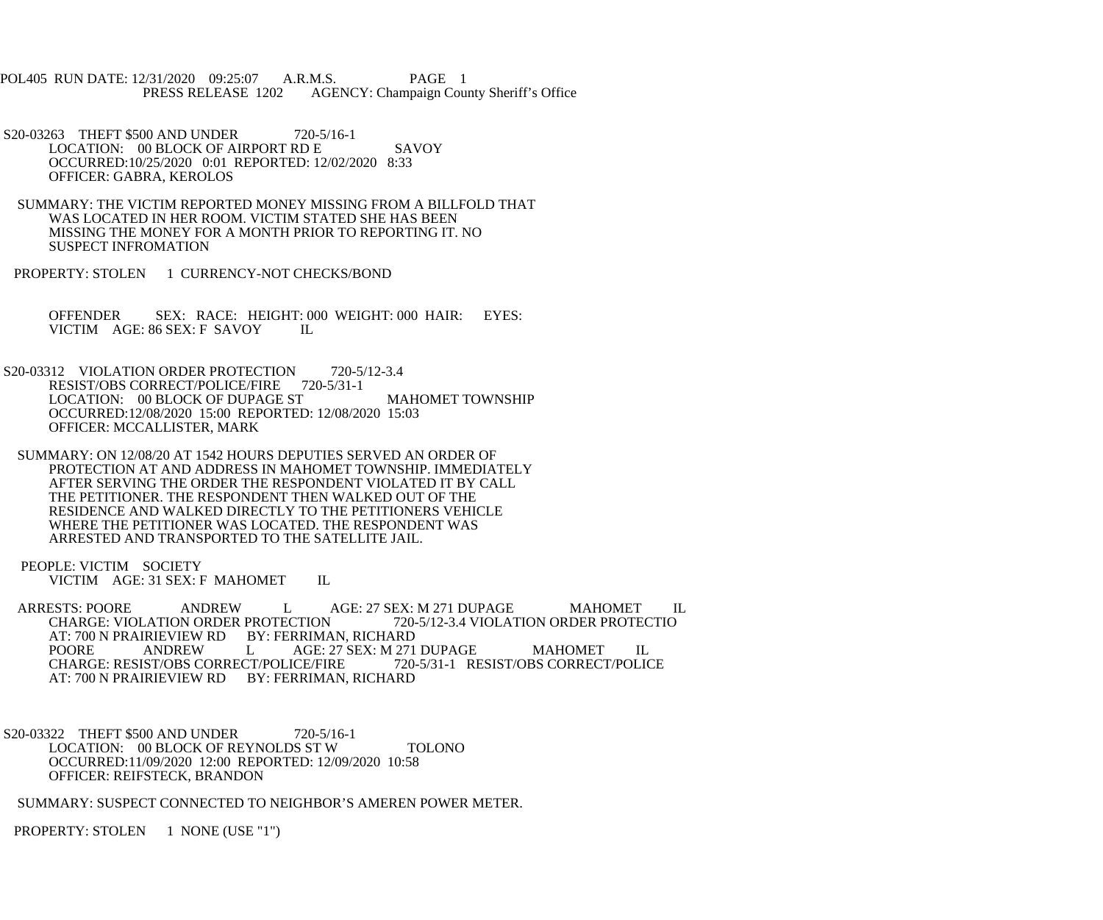POL405 RUN DATE: 12/31/2020 09:25:07 A.R.M.S. PAGE 1<br>PRESS RELEASE 1202 AGENCY: Champaign Cou AGENCY: Champaign County Sheriff's Office

S20-03263 THEFT \$500 AND UNDER 720-5/16-1 LOCATION: 00 BLOCK OF AIRPORT RD E SAVOY OCCURRED:10/25/2020 0:01 REPORTED: 12/02/2020 8:33 OFFICER: GABRA, KEROLOS

 SUMMARY: THE VICTIM REPORTED MONEY MISSING FROM A BILLFOLD THAT WAS LOCATED IN HER ROOM. VICTIM STATED SHE HAS BEEN MISSING THE MONEY FOR A MONTH PRIOR TO REPORTING IT. NO SUSPECT INFROMATION

PROPERTY: STOLEN 1 CURRENCY-NOT CHECKS/BOND

 OFFENDER SEX: RACE: HEIGHT: 000 WEIGHT: 000 HAIR: EYES: VICTIM AGE: 86 SEX: F SAVOY IL

S20-03312 VIOLATION ORDER PROTECTION 720-5/12-3.4 RESIST/OBS CORRECT/POLICE/FIRE 720-5/31-1 LOCATION: 00 BLOCK OF DUPAGE ST MAHOMET TOWNSHIP OCCURRED:12/08/2020 15:00 REPORTED: 12/08/2020 15:03 OFFICER: MCCALLISTER, MARK

 SUMMARY: ON 12/08/20 AT 1542 HOURS DEPUTIES SERVED AN ORDER OF PROTECTION AT AND ADDRESS IN MAHOMET TOWNSHIP. IMMEDIATELY AFTER SERVING THE ORDER THE RESPONDENT VIOLATED IT BY CALL THE PETITIONER. THE RESPONDENT THEN WALKED OUT OF THE RESIDENCE AND WALKED DIRECTLY TO THE PETITIONERS VEHICLE WHERE THE PETITIONER WAS LOCATED. THE RESPONDENT WAS ARRESTED AND TRANSPORTED TO THE SATELLITE JAIL.

 PEOPLE: VICTIM SOCIETY VICTIM AGE: 31 SEX: F MAHOMET IL

ARRESTS: POORE ANDREW L AGE: 27 SEX: M 271 DUPAGE MAHOMET IL<br>CHARGE: VIOLATION ORDER PROTECTION 720-5/12-3.4 VIOLATION ORDER PROTECTIO CHARGE: VIOLATION ORDER PROTECTION AT: 700 N PRAIRIEVIEW RD BY: FERRIMAN, RICHARD<br>POORE ANDREW LAGE: 27 SEX: M 271 AGE: 27 SEX: M 271 DUPAGE MAHOMET IL<br>ICE/FIRE 720-5/31-1 RESIST/OBS CORRECT/POLICE CHARGE: RESIST/OBS CORRECT/POLICE/FIRE AT: 700 N PRAIRIEVIEW RD BY: FERRIMAN, RICHARD

 S20-03322 THEFT \$500 AND UNDER 720-5/16-1 LOCATION: 00 BLOCK OF REYNOLDS ST W TOLONO OCCURRED:11/09/2020 12:00 REPORTED: 12/09/2020 10:58 OFFICER: REIFSTECK, BRANDON

SUMMARY: SUSPECT CONNECTED TO NEIGHBOR'S AMEREN POWER METER.

PROPERTY: STOLEN 1 NONE (USE "1")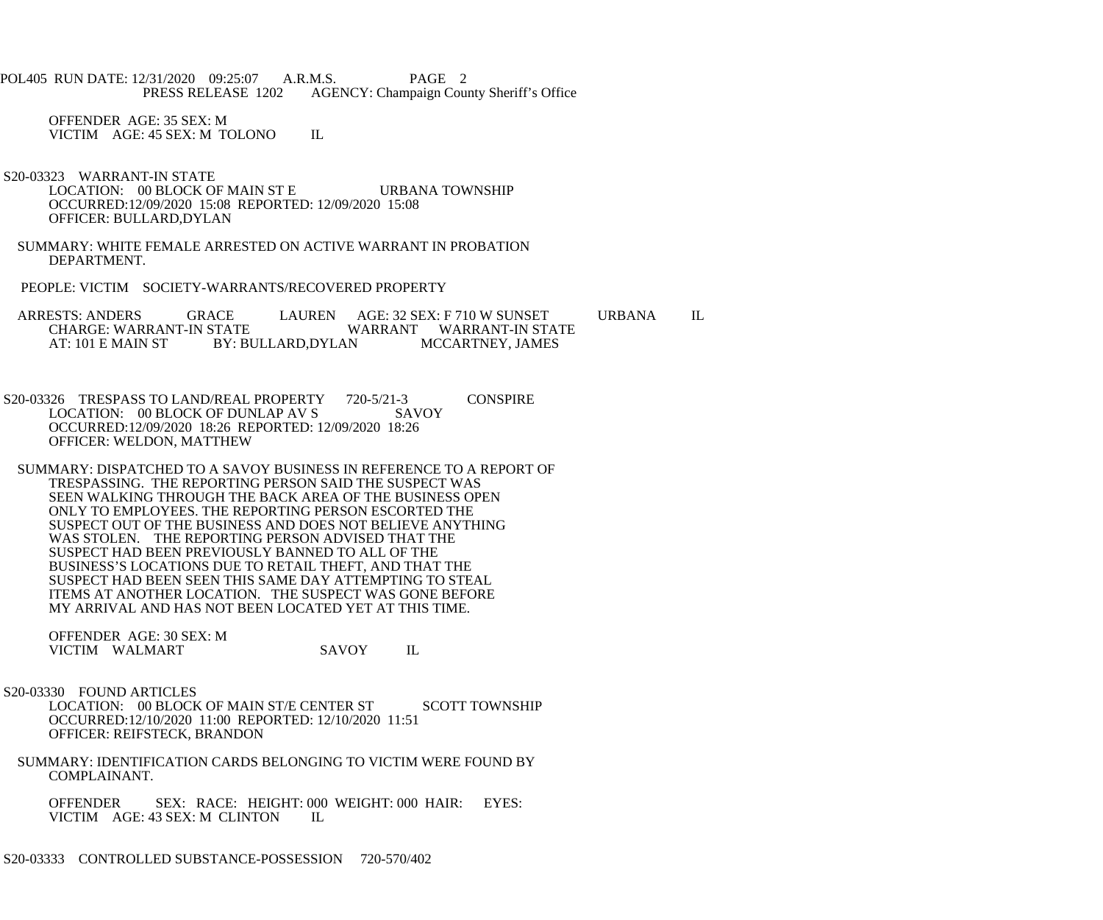POL405 RUN DATE: 12/31/2020 09:25:07 A.R.M.S. PAGE 2<br>PRESS RELEASE 1202 AGENCY: Champaign Cou AGENCY: Champaign County Sheriff's Office

 OFFENDER AGE: 35 SEX: M VICTIM AGE: 45 SEX: M TOLONO IL

 S20-03323 WARRANT-IN STATE LOCATION: 00 BLOCK OF MAIN ST E URBANA TOWNSHIP OCCURRED:12/09/2020 15:08 REPORTED: 12/09/2020 15:08 OFFICER: BULLARD,DYLAN

 SUMMARY: WHITE FEMALE ARRESTED ON ACTIVE WARRANT IN PROBATION DEPARTMENT.

PEOPLE: VICTIM SOCIETY-WARRANTS/RECOVERED PROPERTY

ARRESTS: ANDERS GRACE LAUREN AGE: 32 SEX: F 710 W SUNSET URBANA IL CHARGE: WARRANT-IN STATE VARRANT WARRANT-IN STATE CHARGE: WARRANT-IN STATE WARRANT WARRANT-IN STATE<br>AT: 101 E MAIN ST BY: BULLARD,DYLAN MCCARTNEY, JAMES BY: BULLARD,DYLAN

S20-03326 TRESPASS TO LAND/REAL PROPERTY 720-5/21-3 CONSPIRE<br>LOCATION: 00 BLOCK OF DUNLAP AV S SAVOY LOCATION: 00 BLOCK OF DUNLAP AV S OCCURRED:12/09/2020 18:26 REPORTED: 12/09/2020 18:26 OFFICER: WELDON, MATTHEW

 SUMMARY: DISPATCHED TO A SAVOY BUSINESS IN REFERENCE TO A REPORT OF TRESPASSING. THE REPORTING PERSON SAID THE SUSPECT WAS SEEN WALKING THROUGH THE BACK AREA OF THE BUSINESS OPEN ONLY TO EMPLOYEES. THE REPORTING PERSON ESCORTED THE SUSPECT OUT OF THE BUSINESS AND DOES NOT BELIEVE ANYTHING WAS STOLEN. THE REPORTING PERSON ADVISED THAT THE SUSPECT HAD BEEN PREVIOUSLY BANNED TO ALL OF THE BUSINESS'S LOCATIONS DUE TO RETAIL THEFT, AND THAT THE SUSPECT HAD BEEN SEEN THIS SAME DAY ATTEMPTING TO STEAL ITEMS AT ANOTHER LOCATION. THE SUSPECT WAS GONE BEFORE MY ARRIVAL AND HAS NOT BEEN LOCATED YET AT THIS TIME.

 OFFENDER AGE: 30 SEX: M VICTIM WALMART SAVOY IL

S20-03330 FOUND ARTICLES

LOCATION: 00 BLOCK OF MAIN ST/E CENTER ST SCOTT TOWNSHIP OCCURRED:12/10/2020 11:00 REPORTED: 12/10/2020 11:51 OFFICER: REIFSTECK, BRANDON

 SUMMARY: IDENTIFICATION CARDS BELONGING TO VICTIM WERE FOUND BY COMPLAINANT.

OFFENDER SEX: RACE: HEIGHT: 000 WEIGHT: 000 HAIR: EYES: VICTIM AGE: 43 SEX: M CLINTON IL VICTIM AGE: 43 SEX: M CLINTON

S20-03333 CONTROLLED SUBSTANCE-POSSESSION 720-570/402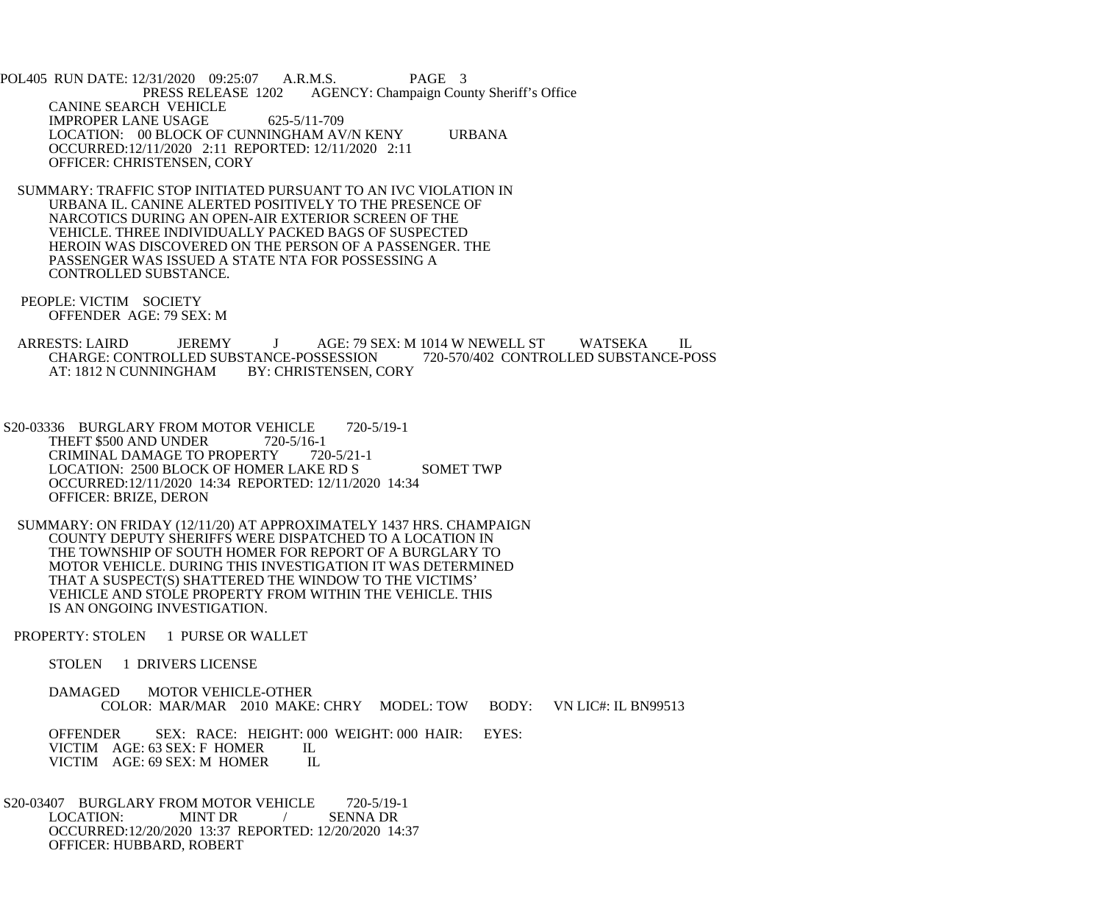POL405 RUN DATE: 12/31/2020 09:25:07 A.R.M.S. PAGE 3<br>PRESS RELEASE 1202 AGENCY: Champaign Cou AGENCY: Champaign County Sheriff's Office CANINE SEARCH VEHICLE IMPROPER LANE USAGE 625-5/11-709 LOCATION: 00 BLOCK OF CUNNINGHAM AV/N KENY URBANA OCCURRED:12/11/2020 2:11 REPORTED: 12/11/2020 2:11 OFFICER: CHRISTENSEN, CORY

 SUMMARY: TRAFFIC STOP INITIATED PURSUANT TO AN IVC VIOLATION IN URBANA IL. CANINE ALERTED POSITIVELY TO THE PRESENCE OF NARCOTICS DURING AN OPEN-AIR EXTERIOR SCREEN OF THE VEHICLE. THREE INDIVIDUALLY PACKED BAGS OF SUSPECTED HEROIN WAS DISCOVERED ON THE PERSON OF A PASSENGER. THE PASSENGER WAS ISSUED A STATE NTA FOR POSSESSING A CONTROLLED SUBSTANCE.

 PEOPLE: VICTIM SOCIETY OFFENDER AGE: 79 SEX: M

ARRESTS: LAIRD JEREMY J AGE: 79 SEX: M 1014 W NEWELL ST WATSEKA IL CHARGE: CONTROLLED SUBSTANCE-POSSESSION 720-570/402 CONTROLLED SUBSTANCE-POSS CHARGE: CONTROLLED SUBSTANCE-POSSESSION<br>AT: 1812 N CUNNINGHAM BY: CHRISTENSEN, CORY AT: 1812 N CUNNINGHAM

S20-03336 BURGLARY FROM MOTOR VEHICLE 720-5/19-1<br>THEFT \$500 AND UNDER 720-5/16-1 THEFT \$500 AND UNDER 720-5/16-1<br>CRIMINAL DAMAGE TO PROPERTY 720-5/21-1 CRIMINAL DAMAGE TO PROPERTY LOCATION: 2500 BLOCK OF HOMER LAKE RD S<br>SOMET TWP OCCURRED:12/11/2020 14:34 REPORTED: 12/11/2020 14:34 OFFICER: BRIZE, DERON

 SUMMARY: ON FRIDAY (12/11/20) AT APPROXIMATELY 1437 HRS. CHAMPAIGN COUNTY DEPUTY SHERIFFS WERE DISPATCHED TO A LOCATION IN THE TOWNSHIP OF SOUTH HOMER FOR REPORT OF A BURGLARY TO MOTOR VEHICLE. DURING THIS INVESTIGATION IT WAS DETERMINED THAT A SUSPECT(S) SHATTERED THE WINDOW TO THE VICTIMS' VEHICLE AND STOLE PROPERTY FROM WITHIN THE VEHICLE. THIS IS AN ONGOING INVESTIGATION.

PROPERTY: STOLEN 1 PURSE OR WALLET

STOLEN 1 DRIVERS LICENSE

 DAMAGED MOTOR VEHICLE-OTHER COLOR: MAR/MAR 2010 MAKE: CHRY MODEL: TOW BODY: VN LIC#: IL BN99513

OFFENDER SEX: RACE: HEIGHT: 000 WEIGHT: 000 HAIR: EYES: VICTIM AGE: 63 SEX: F HOMER IL VICTIM AGE: 63 SEX: F HOMER IL<br>VICTIM AGE: 69 SEX: M HOMER IL VICTIM AGE: 69 SEX: M HOMER

S20-03407 BURGLARY FROM MOTOR VEHICLE 720-5/19-1<br>LOCATION: MINT DR / SENNA DR LOCATION: MINT DR / OCCURRED:12/20/2020 13:37 REPORTED: 12/20/2020 14:37 OFFICER: HUBBARD, ROBERT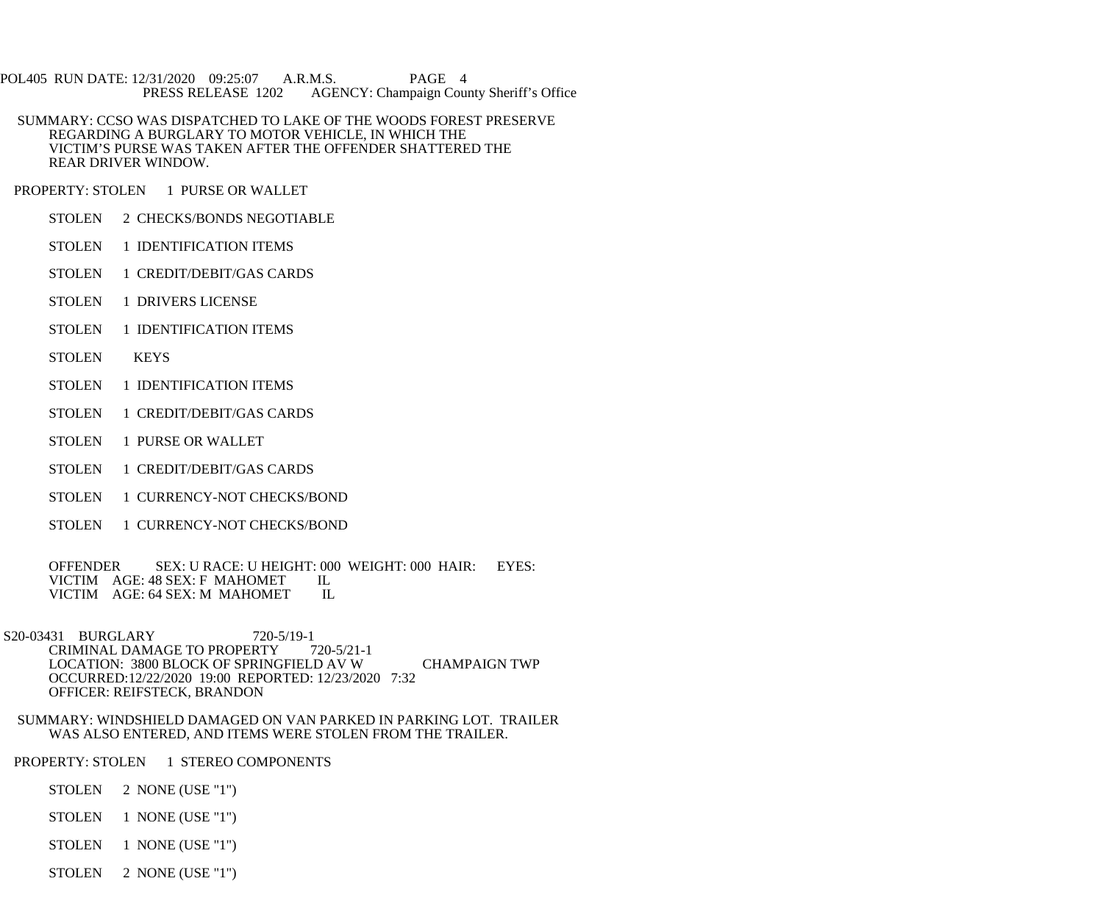POL405 RUN DATE: 12/31/2020 09:25:07 A.R.M.S. PAGE 4<br>PRESS RELEASE 1202 AGENCY: Champaign Cou AGENCY: Champaign County Sheriff's Office

- SUMMARY: CCSO WAS DISPATCHED TO LAKE OF THE WOODS FOREST PRESERVE REGARDING A BURGLARY TO MOTOR VEHICLE, IN WHICH THE VICTIM'S PURSE WAS TAKEN AFTER THE OFFENDER SHATTERED THE REAR DRIVER WINDOW.
- PROPERTY: STOLEN 1 PURSE OR WALLET
	- STOLEN 2 CHECKS/BONDS NEGOTIABLE
	- STOLEN 1 IDENTIFICATION ITEMS
	- STOLEN 1 CREDIT/DEBIT/GAS CARDS
	- STOLEN 1 DRIVERS LICENSE
	- STOLEN 1 IDENTIFICATION ITEMS
	- STOLEN KEYS
	- STOLEN 1 IDENTIFICATION ITEMS
	- STOLEN 1 CREDIT/DEBIT/GAS CARDS
	- STOLEN 1 PURSE OR WALLET
	- STOLEN 1 CREDIT/DEBIT/GAS CARDS
	- STOLEN 1 CURRENCY-NOT CHECKS/BOND
	- STOLEN 1 CURRENCY-NOT CHECKS/BOND

OFFENDER SEX: U RACE: U HEIGHT: 000 WEIGHT: 000 HAIR: EYES: VICTIM AGE: 48 SEX: F MAHOMET IL VICTIM AGE: 48 SEX: F MAHOMET IL VICTIM AGE: 64 SEX: M MAHOMET IL VICTIM AGE: 64 SEX: M MAHOMET

- S20-03431 BURGLARY 720-5/19-1<br>CRIMINAL DAMAGE TO PROPERTY 720-5/21-1 CRIMINAL DAMAGE TO PROPERTY LOCATION: 3800 BLOCK OF SPRINGFIELD AV W CHAMPAIGN TWP OCCURRED:12/22/2020 19:00 REPORTED: 12/23/2020 7:32 OFFICER: REIFSTECK, BRANDON
- SUMMARY: WINDSHIELD DAMAGED ON VAN PARKED IN PARKING LOT. TRAILER WAS ALSO ENTERED, AND ITEMS WERE STOLEN FROM THE TRAILER.
- PROPERTY: STOLEN 1 STEREO COMPONENTS
	- STOLEN 2 NONE (USE "1")
	- STOLEN 1 NONE (USE "1")
	- STOLEN 1 NONE (USE "1")
	- STOLEN 2 NONE (USE "1")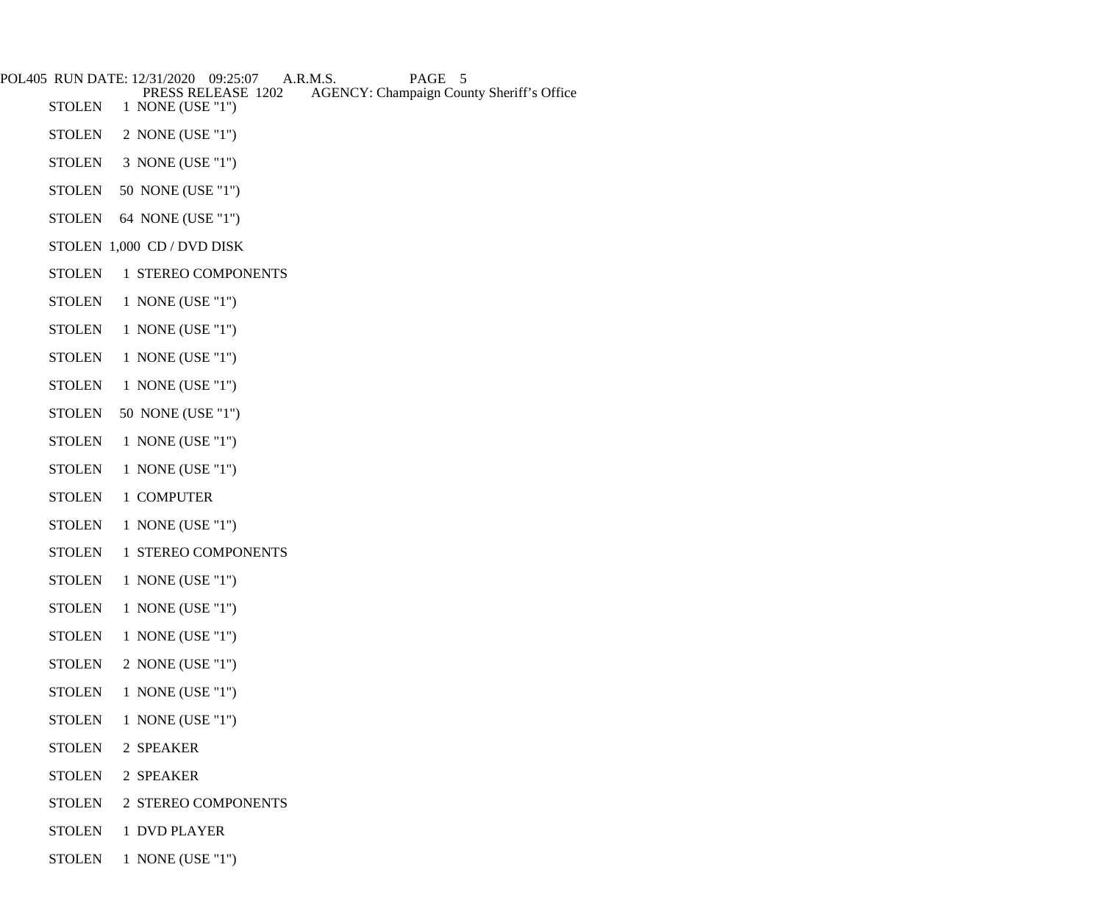| POL405 RUN DATE: 12/31/2020 | 09:25:07<br>A.R.M.S.<br>PAGE 5<br>PRESS RELEASE 1202<br><b>AGENCY: Champaign County Sheriff's Office</b> |
|-----------------------------|----------------------------------------------------------------------------------------------------------|
| <b>STOLEN</b>               | 1 NONE (USE "1")                                                                                         |
| <b>STOLEN</b>               | 2 NONE (USE "1")                                                                                         |
| <b>STOLEN</b>               | 3 NONE (USE "1")                                                                                         |
| <b>STOLEN</b>               | 50 NONE (USE "1")                                                                                        |
| <b>STOLEN</b>               | 64 NONE (USE "1")                                                                                        |
|                             | STOLEN 1,000 CD / DVD DISK                                                                               |
| <b>STOLEN</b>               | 1 STEREO COMPONENTS                                                                                      |
| <b>STOLEN</b>               | 1 NONE (USE "1")                                                                                         |
| <b>STOLEN</b>               | 1 NONE (USE "1")                                                                                         |
| <b>STOLEN</b>               | 1 NONE (USE "1")                                                                                         |
| <b>STOLEN</b>               | 1 NONE (USE "1")                                                                                         |
| <b>STOLEN</b>               | 50 NONE (USE "1")                                                                                        |
| <b>STOLEN</b>               | 1 NONE (USE "1")                                                                                         |
| <b>STOLEN</b>               | 1 NONE (USE "1")                                                                                         |
| <b>STOLEN</b>               | 1 COMPUTER                                                                                               |
| <b>STOLEN</b>               | 1 NONE (USE "1")                                                                                         |
| <b>STOLEN</b>               | 1 STEREO COMPONENTS                                                                                      |
| <b>STOLEN</b>               | 1 NONE (USE "1")                                                                                         |
| <b>STOLEN</b>               | 1 NONE (USE "1")                                                                                         |
| <b>STOLEN</b>               | 1 NONE (USE "1")                                                                                         |
| <b>STOLEN</b>               | 2 NONE (USE "1")                                                                                         |
| <b>STOLEN</b>               | 1 NONE (USE "1")                                                                                         |
| <b>STOLEN</b>               | 1 NONE (USE "1")                                                                                         |
| <b>STOLEN</b>               | 2 SPEAKER                                                                                                |

- STOLEN 2 SPEAKER
- STOLEN 2 STEREO COMPONENTS
- STOLEN 1 DVD PLAYER
- STOLEN 1 NONE (USE "1")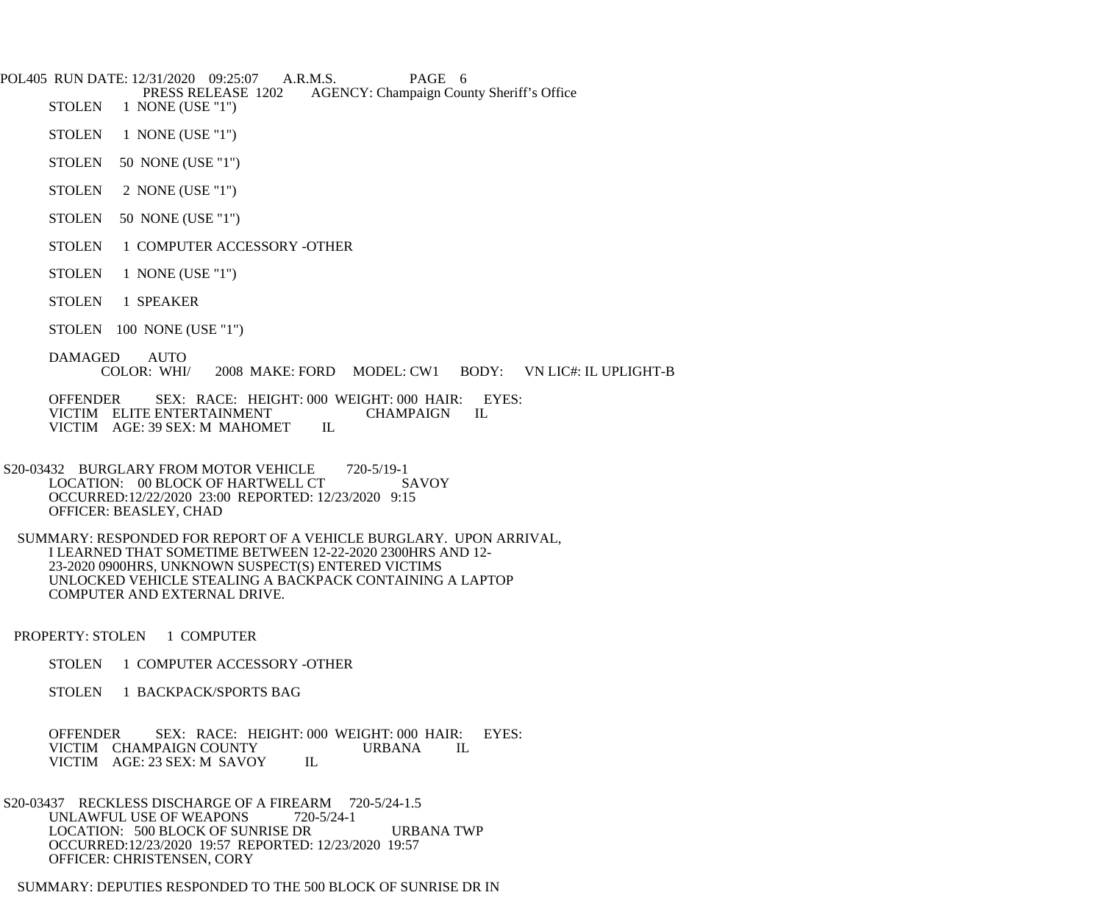POL405 RUN DATE: 12/31/2020 09:25:07 A.R.M.S. PAGE 6<br>PRESS RELEASE 1202 AGENCY: Champaign Cou

**PRESS RELEASE 1202** AGENCY: Champaign County Sheriff's Office STOLEN 1 NONE (USE "1")

- 1 NONE (USE "1")
- STOLEN 1 NONE (USE "1")
- STOLEN 50 NONE (USE "1")
- STOLEN 2 NONE (USE "1")
- STOLEN 50 NONE (USE "1")
- STOLEN 1 COMPUTER ACCESSORY -OTHER
- STOLEN 1 NONE (USE "1")
- STOLEN 1 SPEAKER
- STOLEN 100 NONE (USE "1")
- DAMAGED AUTO<br>COLOR: WHI/ 2008 MAKE: FORD MODEL: CW1 BODY: VN LIC#: IL UPLIGHT-B

OFFENDER SEX: RACE: HEIGHT: 000 WEIGHT: 000 HAIR: EYES:<br>VICTIM ELITE ENTERTAINMENT CHAMPAIGN IL VICTIM ELITE ENTERTAINMENT CHAMPAIGN VICTIM AGE: 39 SEX: M MAHOMET IL VICTIM AGE: 39 SEX: M MAHOMET

- S20-03432 BURGLARY FROM MOTOR VEHICLE 720-5/19-1 LOCATION: 00 BLOCK OF HARTWELL CT SAVOY OCCURRED:12/22/2020 23:00 REPORTED: 12/23/2020 9:15 OFFICER: BEASLEY, CHAD
- SUMMARY: RESPONDED FOR REPORT OF A VEHICLE BURGLARY. UPON ARRIVAL, I LEARNED THAT SOMETIME BETWEEN 12-22-2020 2300HRS AND 12- 23-2020 0900HRS, UNKNOWN SUSPECT(S) ENTERED VICTIMS UNLOCKED VEHICLE STEALING A BACKPACK CONTAINING A LAPTOP COMPUTER AND EXTERNAL DRIVE.
- PROPERTY: STOLEN 1 COMPUTER
	- STOLEN 1 COMPUTER ACCESSORY -OTHER
	- STOLEN 1 BACKPACK/SPORTS BAG

 OFFENDER SEX: RACE: HEIGHT: 000 WEIGHT: 000 HAIR: EYES: VICTIM CHAMPAIGN COUNTY URBANA IL VICTIM AGE: 23 SEX: M SAVOY IL

- S20-03437 RECKLESS DISCHARGE OF A FIREARM 720-5/24-1.5<br>UNLAWFUL USE OF WEAPONS 720-5/24-1 UNLAWFUL USE OF WEAPONS LOCATION: 500 BLOCK OF SUNRISE DR URBANA TWP OCCURRED:12/23/2020 19:57 REPORTED: 12/23/2020 19:57 OFFICER: CHRISTENSEN, CORY
- SUMMARY: DEPUTIES RESPONDED TO THE 500 BLOCK OF SUNRISE DR IN